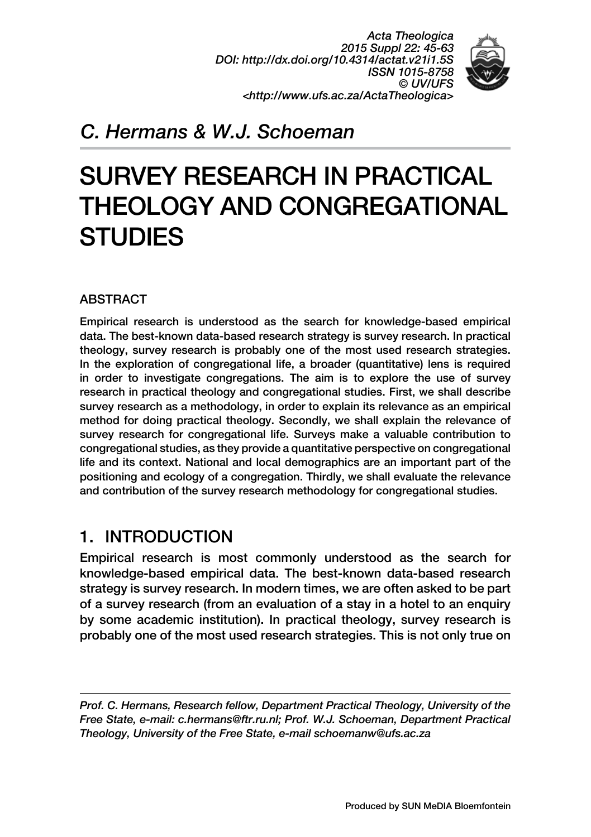*Acta Theologica 2015 Suppl 22: 45-63 DOI: http://dx.doi.org/10.4314/actat.v21i1.5S ISSN 1015-8758 © UV/UFS <http://www.ufs.ac.za/ActaTheologica>*



*C. Hermans & W.J. Schoeman* 

# SURVEY RESEARCH IN PRACTICAL THEOLOGY AND CONGREGATIONAL **STUDIES**

### **ABSTRACT**

Empirical research is understood as the search for knowledge-based empirical data. The best-known data-based research strategy is survey research. In practical theology, survey research is probably one of the most used research strategies. In the exploration of congregational life, a broader (quantitative) lens is required in order to investigate congregations. The aim is to explore the use of survey research in practical theology and congregational studies. First, we shall describe survey research as a methodology, in order to explain its relevance as an empirical method for doing practical theology. Secondly, we shall explain the relevance of survey research for congregational life. Surveys make a valuable contribution to congregational studies, as they provide a quantitative perspective on congregational life and its context. National and local demographics are an important part of the positioning and ecology of a congregation. Thirdly, we shall evaluate the relevance and contribution of the survey research methodology for congregational studies.

## 1. INTRODUCTION

Empirical research is most commonly understood as the search for knowledge-based empirical data. The best-known data-based research strategy is survey research. In modern times, we are often asked to be part of a survey research (from an evaluation of a stay in a hotel to an enquiry by some academic institution). In practical theology, survey research is probably one of the most used research strategies. This is not only true on

*Prof. C. Hermans, Research fellow, Department Practical Theology, University of the Free State, e-mail: c.hermans@ftr.ru.nl; Prof. W.J. Schoeman, Department Practical Theology, University of the Free State, e-mail schoemanw@ufs.ac.za*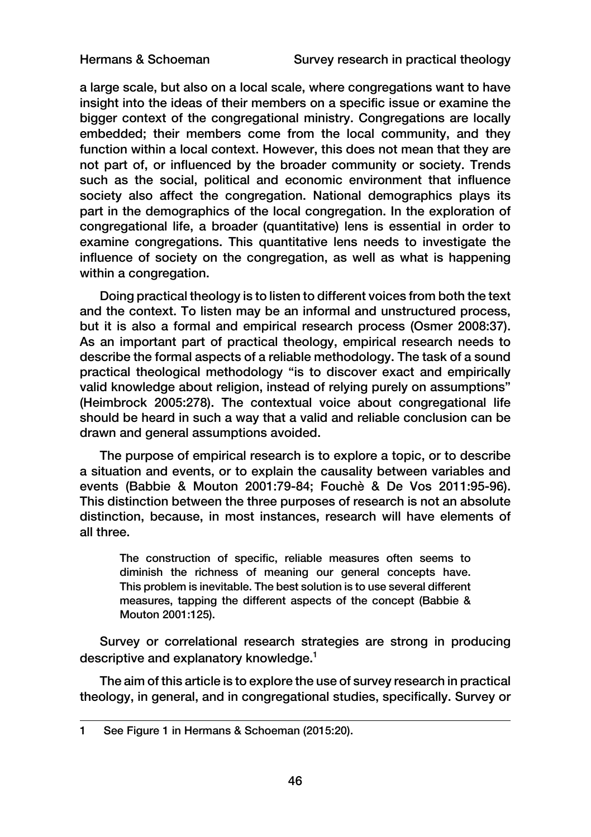a large scale, but also on a local scale, where congregations want to have insight into the ideas of their members on a specific issue or examine the bigger context of the congregational ministry. Congregations are locally embedded; their members come from the local community, and they function within a local context. However, this does not mean that they are not part of, or influenced by the broader community or society. Trends such as the social, political and economic environment that influence society also affect the congregation. National demographics plays its part in the demographics of the local congregation. In the exploration of congregational life, a broader (quantitative) lens is essential in order to examine congregations. This quantitative lens needs to investigate the influence of society on the congregation, as well as what is happening within a congregation.

Doing practical theology is to listen to different voices from both the text and the context. To listen may be an informal and unstructured process, but it is also a formal and empirical research process (Osmer 2008:37). As an important part of practical theology, empirical research needs to describe the formal aspects of a reliable methodology. The task of a sound practical theological methodology "is to discover exact and empirically valid knowledge about religion, instead of relying purely on assumptions" (Heimbrock 2005:278). The contextual voice about congregational life should be heard in such a way that a valid and reliable conclusion can be drawn and general assumptions avoided.

The purpose of empirical research is to explore a topic, or to describe a situation and events, or to explain the causality between variables and events (Babbie & Mouton 2001:79-84; Fouchè & De Vos 2011:95-96). This distinction between the three purposes of research is not an absolute distinction, because, in most instances, research will have elements of all three.

The construction of specific, reliable measures often seems to diminish the richness of meaning our general concepts have. This problem is inevitable. The best solution is to use several different measures, tapping the different aspects of the concept (Babbie & Mouton 2001:125).

Survey or correlational research strategies are strong in producing descriptive and explanatory knowledge.<sup>1</sup>

The aim of this article is to explore the use of survey research in practical theology, in general, and in congregational studies, specifically. Survey or

<sup>1</sup> See Figure 1 in Hermans & Schoeman (2015:20).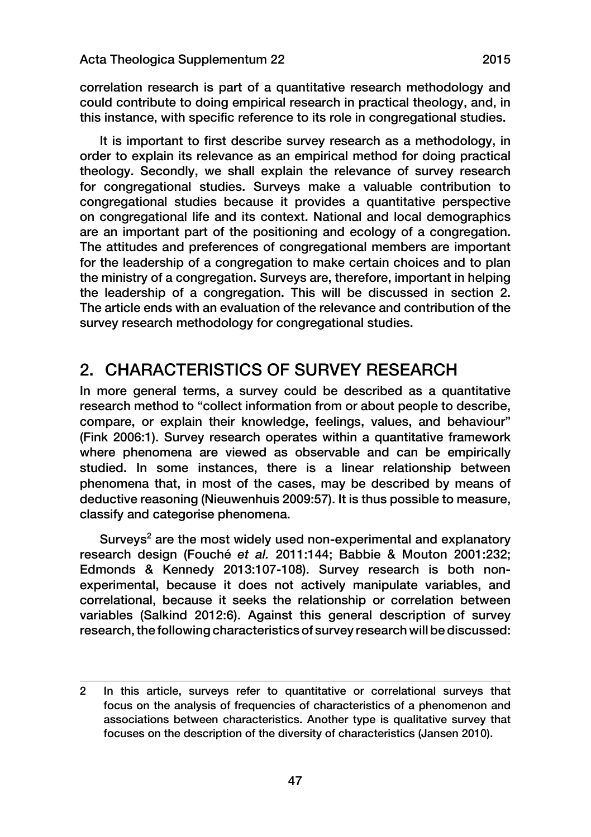correlation research is part of a quantitative research methodology and could contribute to doing empirical research in practical theology, and, in this instance, with specific reference to its role in congregational studies.

It is important to first describe survey research as a methodology, in order to explain its relevance as an empirical method for doing practical theology. Secondly, we shall explain the relevance of survey research for congregational studies. Surveys make a valuable contribution to congregational studies because it provides a quantitative perspective on congregational life and its context. National and local demographics are an important part of the positioning and ecology of a congregation. The attitudes and preferences of congregational members are important for the leadership of a congregation to make certain choices and to plan the ministry of a congregation. Surveys are, therefore, important in helping the leadership of a congregation. This will be discussed in section 2. The article ends with an evaluation of the relevance and contribution of the survey research methodology for congregational studies.

## 2. CHARACTERISTICS OF SURVEY RESEARCH

In more general terms, a survey could be described as a quantitative research method to "collect information from or about people to describe, compare, or explain their knowledge, feelings, values, and behaviour" (Fink 2006:1). Survey research operates within a quantitative framework where phenomena are viewed as observable and can be empirically studied. In some instances, there is a linear relationship between phenomena that, in most of the cases, may be described by means of deductive reasoning (Nieuwenhuis 2009:57). It is thus possible to measure, classify and categorise phenomena.

Surveys<sup>2</sup> are the most widely used non-experimental and explanatory research design (Fouché *et al.* 2011:144; Babbie & Mouton 2001:232; Edmonds & Kennedy 2013:107-108). Survey research is both nonexperimental, because it does not actively manipulate variables, and correlational, because it seeks the relationship or correlation between variables (Salkind 2012:6). Against this general description of survey research, the following characteristics of survey research will be discussed:

<sup>2</sup> In this article, surveys refer to quantitative or correlational surveys that focus on the analysis of frequencies of characteristics of a phenomenon and associations between characteristics. Another type is qualitative survey that focuses on the description of the diversity of characteristics (Jansen 2010).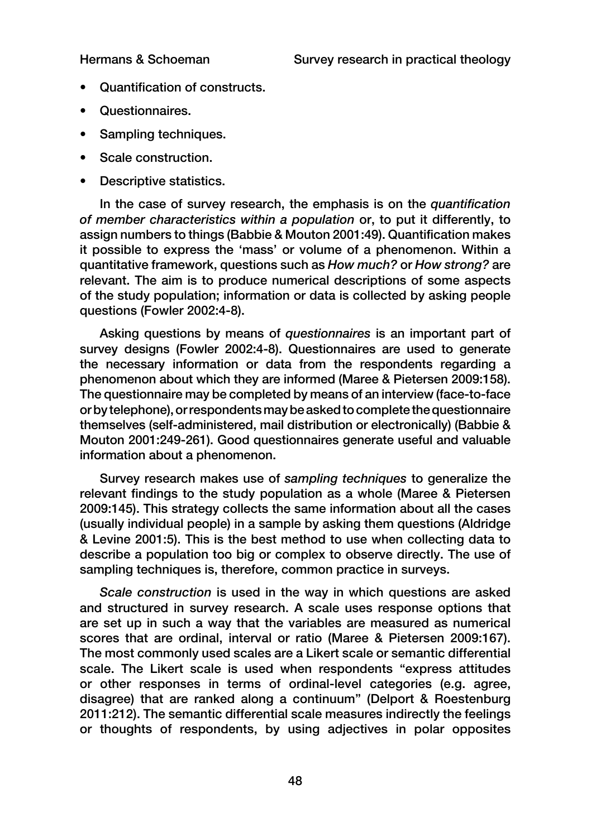- Quantification of constructs.
- Questionnaires.
- Sampling techniques.
- Scale construction.
- Descriptive statistics.

In the case of survey research, the emphasis is on the *quantification of member characteristics within a population* or, to put it differently, to assign numbers to things (Babbie & Mouton 2001:49). Quantification makes it possible to express the 'mass' or volume of a phenomenon. Within a quantitative framework, questions such as *How much?* or *How strong?* are relevant. The aim is to produce numerical descriptions of some aspects of the study population; information or data is collected by asking people questions (Fowler 2002:4-8).

Asking questions by means of *questionnaires* is an important part of survey designs (Fowler 2002:4-8). Questionnaires are used to generate the necessary information or data from the respondents regarding a phenomenon about which they are informed (Maree & Pietersen 2009:158). The questionnaire may be completed by means of an interview (face-to-face or by telephone), or respondents may be asked to complete the questionnaire themselves (self-administered, mail distribution or electronically) (Babbie & Mouton 2001:249-261). Good questionnaires generate useful and valuable information about a phenomenon.

Survey research makes use of *sampling techniques* to generalize the relevant findings to the study population as a whole (Maree & Pietersen 2009:145). This strategy collects the same information about all the cases (usually individual people) in a sample by asking them questions (Aldridge & Levine 2001:5). This is the best method to use when collecting data to describe a population too big or complex to observe directly. The use of sampling techniques is, therefore, common practice in surveys.

*Scale construction* is used in the way in which questions are asked and structured in survey research. A scale uses response options that are set up in such a way that the variables are measured as numerical scores that are ordinal, interval or ratio (Maree & Pietersen 2009:167). The most commonly used scales are a Likert scale or semantic differential scale. The Likert scale is used when respondents "express attitudes or other responses in terms of ordinal-level categories (e.g. agree, disagree) that are ranked along a continuum" (Delport & Roestenburg 2011:212). The semantic differential scale measures indirectly the feelings or thoughts of respondents, by using adjectives in polar opposites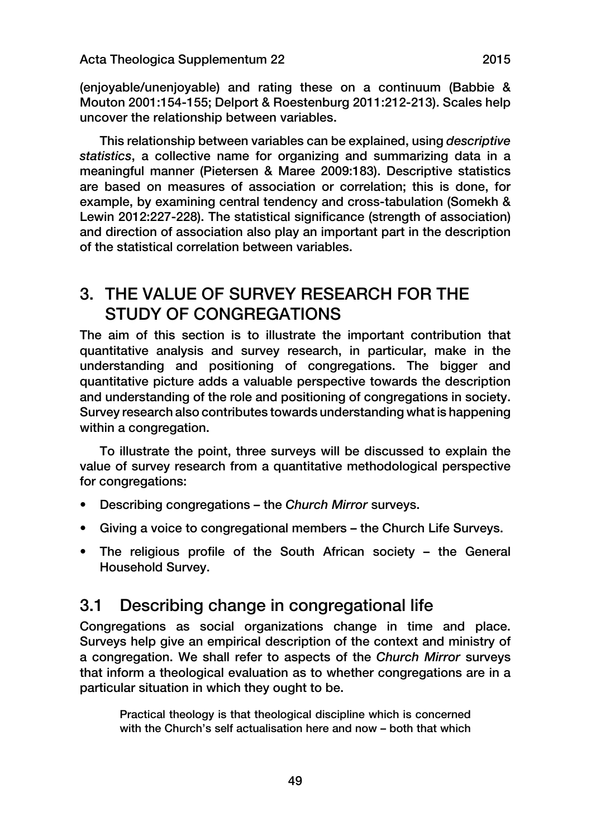(enjoyable/unenjoyable) and rating these on a continuum (Babbie & Mouton 2001:154-155; Delport & Roestenburg 2011:212-213). Scales help uncover the relationship between variables.

This relationship between variables can be explained, using *descriptive statistics*, a collective name for organizing and summarizing data in a meaningful manner (Pietersen & Maree 2009:183). Descriptive statistics are based on measures of association or correlation; this is done, for example, by examining central tendency and cross-tabulation (Somekh & Lewin 2012:227-228). The statistical significance (strength of association) and direction of association also play an important part in the description of the statistical correlation between variables.

## 3. THE VALUE OF SURVEY RESEARCH FOR THE STUDY OF CONGREGATIONS

The aim of this section is to illustrate the important contribution that quantitative analysis and survey research, in particular, make in the understanding and positioning of congregations. The bigger and quantitative picture adds a valuable perspective towards the description and understanding of the role and positioning of congregations in society. Survey research also contributes towards understanding what is happening within a congregation.

To illustrate the point, three surveys will be discussed to explain the value of survey research from a quantitative methodological perspective for congregations:

- Describing congregations the *Church Mirror* surveys.
- Giving a voice to congregational members the Church Life Surveys.
- The religious profile of the South African society the General Household Survey.

## 3.1 Describing change in congregational life

Congregations as social organizations change in time and place. Surveys help give an empirical description of the context and ministry of a congregation. We shall refer to aspects of the *Church Mirror* surveys that inform a theological evaluation as to whether congregations are in a particular situation in which they ought to be.

Practical theology is that theological discipline which is concerned with the Church's self actualisation here and now – both that which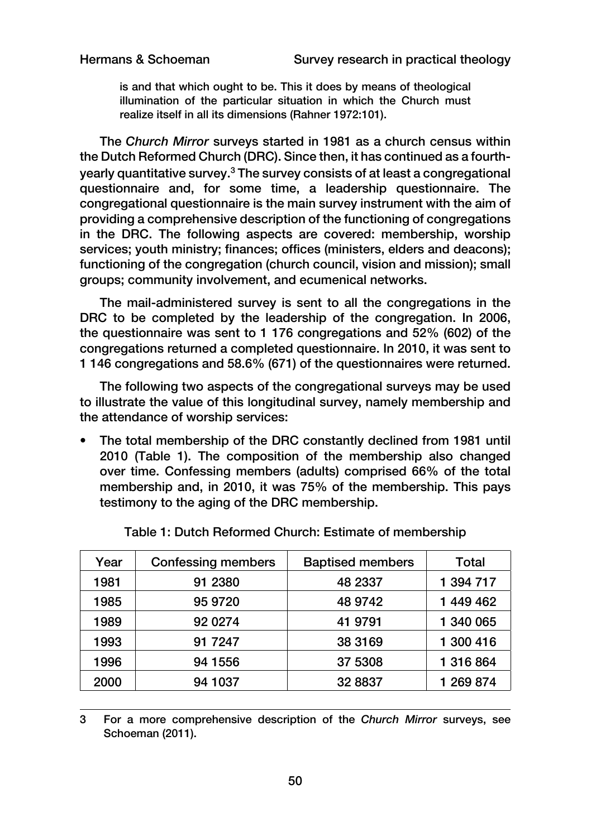is and that which ought to be. This it does by means of theological illumination of the particular situation in which the Church must realize itself in all its dimensions (Rahner 1972:101).

The *Church Mirror* surveys started in 1981 as a church census within the Dutch Reformed Church (DRC). Since then, it has continued as a fourthyearly quantitative survey.<sup>3</sup> The survey consists of at least a congregational questionnaire and, for some time, a leadership questionnaire. The congregational questionnaire is the main survey instrument with the aim of providing a comprehensive description of the functioning of congregations in the DRC. The following aspects are covered: membership, worship services; youth ministry; finances; offices (ministers, elders and deacons); functioning of the congregation (church council, vision and mission); small groups; community involvement, and ecumenical networks.

The mail-administered survey is sent to all the congregations in the DRC to be completed by the leadership of the congregation. In 2006. the questionnaire was sent to 1 176 congregations and 52% (602) of the congregations returned a completed questionnaire. In 2010, it was sent to 1 146 congregations and 58.6% (671) of the questionnaires were returned.

The following two aspects of the congregational surveys may be used to illustrate the value of this longitudinal survey, namely membership and the attendance of worship services:

• The total membership of the DRC constantly declined from 1981 until 2010 (Table 1). The composition of the membership also changed over time. Confessing members (adults) comprised 66% of the total membership and, in 2010, it was 75% of the membership. This pays testimony to the aging of the DRC membership.

| Year | <b>Confessing members</b> | <b>Baptised members</b> | Total     |
|------|---------------------------|-------------------------|-----------|
| 1981 | 91 2380                   | 48 2337                 | 1 394 717 |
| 1985 | 95 97 20                  | 48 9742                 | 1449462   |
| 1989 | 92 0274                   | 41 9791                 | 1 340 065 |
| 1993 | 91 7247                   | 38 31 69                | 1 300 416 |
| 1996 | 94 1556                   | 37 5308                 | 1 316 864 |
| 2000 | 94 1037                   | 32 8837                 | 1 269 874 |

Table 1: Dutch Reformed Church: Estimate of membership

3 For a more comprehensive description of the *Church Mirror* surveys, see Schoeman (2011).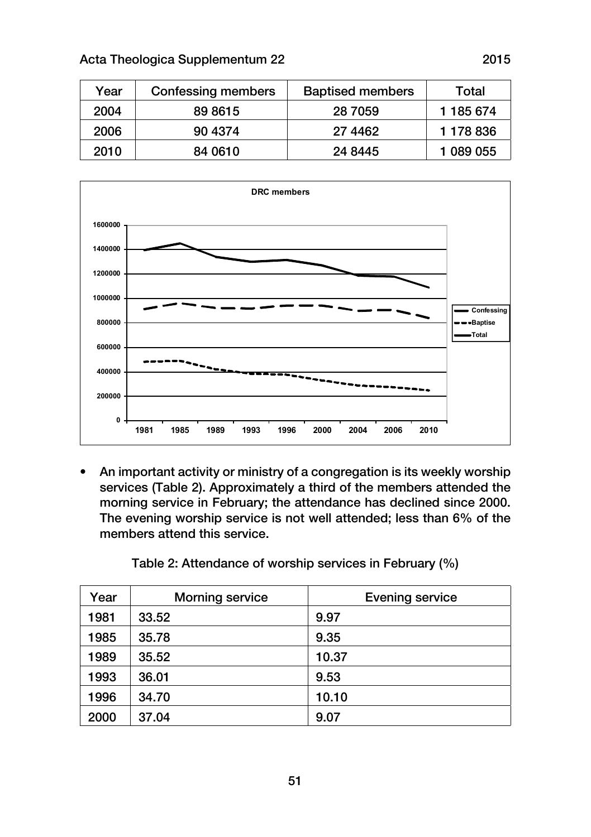| Year | Confessing members | <b>Baptised members</b> | Total     |
|------|--------------------|-------------------------|-----------|
| 2004 | 89 8615            | 28 7059                 | 1 185 674 |
| 2006 | 90 4374            | 27 44 62                | 1 178 836 |
| 2010 | 84 0610            | 24 8445                 | 1 089 055 |



• An important activity or ministry of a congregation is its weekly worship services (Table 2). Approximately a third of the members attended the morning service in February; the attendance has declined since 2000. The evening worship service is not well attended; less than 6% of the members attend this service.

| Year | <b>Morning service</b> | <b>Evening service</b> |
|------|------------------------|------------------------|
| 1981 | 33.52                  | 9.97                   |
| 1985 | 35.78                  | 9.35                   |
| 1989 | 35.52                  | 10.37                  |
| 1993 | 36.01                  | 9.53                   |
| 1996 | 34.70                  | 10.10                  |
| 2000 | 37.04                  | 9.07                   |

Table 2: Attendance of worship services in February (%)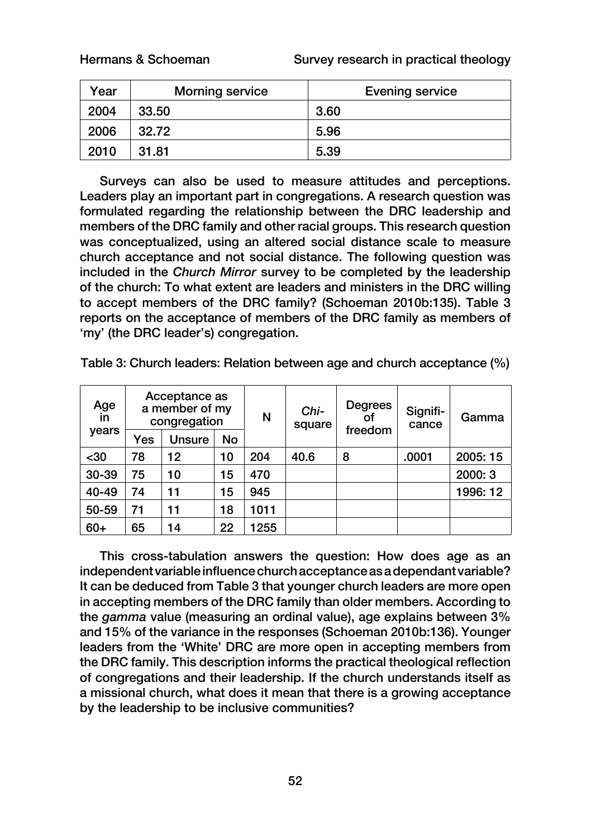| Year | Morning service | <b>Evening service</b> |
|------|-----------------|------------------------|
| 2004 | 33.50           | 3.60                   |
| 2006 | 32.72           | 5.96                   |
| 2010 | 31.81           | 5.39                   |

Surveys can also be used to measure attitudes and perceptions. Leaders play an important part in congregations. A research question was formulated regarding the relationship between the DRC leadership and members of the DRC family and other racial groups. This research question was conceptualized, using an altered social distance scale to measure church acceptance and not social distance. The following question was included in the *Church Mirror* survey to be completed by the leadership of the church: To what extent are leaders and ministers in the DRC willing to accept members of the DRC family? (Schoeman 2010b:135). Table 3 reports on the acceptance of members of the DRC family as members of 'my' (the DRC leader's) congregation.

| Age<br>in |     | Acceptance as<br>a member of my<br>congregation |    | Ν    | Chi-<br>square | <b>Degrees</b><br>Οt | Signifi-<br>cance | Gamma    |
|-----------|-----|-------------------------------------------------|----|------|----------------|----------------------|-------------------|----------|
| vears     | Yes | Unsure                                          | No |      |                | freedom              |                   |          |
| $30$      | 78  | 12                                              | 10 | 204  | 40.6           | 8                    | .0001             | 2005: 15 |
| 30-39     | 75  | 10                                              | 15 | 470  |                |                      |                   | 2000: 3  |
| 40-49     | 74  | 11                                              | 15 | 945  |                |                      |                   | 1996: 12 |
| 50-59     | 71  | 11                                              | 18 | 1011 |                |                      |                   |          |
| $60+$     | 65  | 14                                              | 22 | 1255 |                |                      |                   |          |

Table 3: Church leaders: Relation between age and church acceptance (%)

This cross-tabulation answers the question: How does age as an independent variable influence church acceptance as a dependant variable? It can be deduced from Table 3 that younger church leaders are more open in accepting members of the DRC family than older members. According to the *gamma* value (measuring an ordinal value), age explains between 3% and 15% of the variance in the responses (Schoeman 2010b:136). Younger leaders from the 'White' DRC are more open in accepting members from the DRC family. This description informs the practical theological reflection of congregations and their leadership. If the church understands itself as a missional church, what does it mean that there is a growing acceptance by the leadership to be inclusive communities?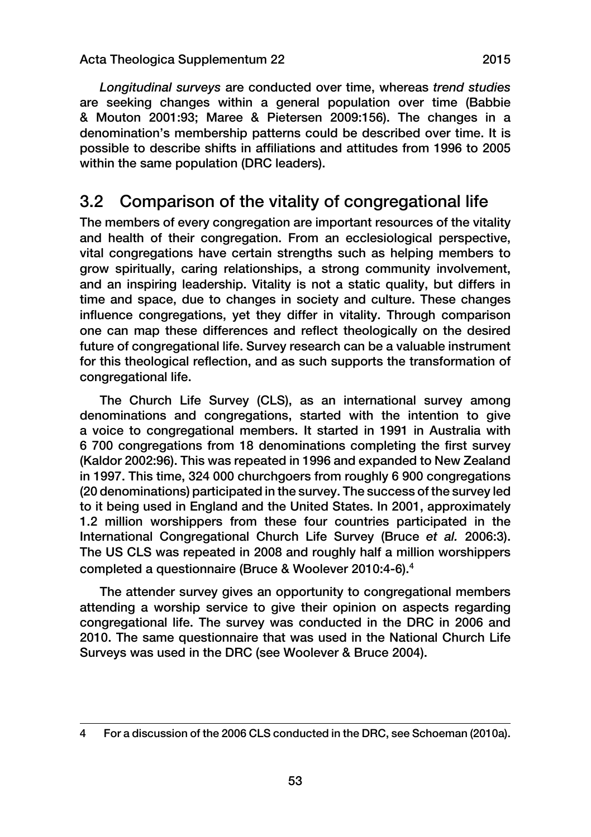*Longitudinal surveys* are conducted over time, whereas *trend studies*  are seeking changes within a general population over time (Babbie & Mouton 2001:93; Maree & Pietersen 2009:156). The changes in a denomination's membership patterns could be described over time. It is possible to describe shifts in affiliations and attitudes from 1996 to 2005 within the same population (DRC leaders).

## 3.2 Comparison of the vitality of congregational life

The members of every congregation are important resources of the vitality and health of their congregation. From an ecclesiological perspective, vital congregations have certain strengths such as helping members to grow spiritually, caring relationships, a strong community involvement, and an inspiring leadership. Vitality is not a static quality, but differs in time and space, due to changes in society and culture. These changes influence congregations, yet they differ in vitality. Through comparison one can map these differences and reflect theologically on the desired future of congregational life. Survey research can be a valuable instrument for this theological reflection, and as such supports the transformation of congregational life.

The Church Life Survey (CLS), as an international survey among denominations and congregations, started with the intention to give a voice to congregational members. It started in 1991 in Australia with 6 700 congregations from 18 denominations completing the first survey (Kaldor 2002:96). This was repeated in 1996 and expanded to New Zealand in 1997. This time, 324 000 churchgoers from roughly 6 900 congregations (20 denominations) participated in the survey. The success of the survey led to it being used in England and the United States. In 2001, approximately 1.2 million worshippers from these four countries participated in the International Congregational Church Life Survey (Bruce *et al.* 2006:3). The US CLS was repeated in 2008 and roughly half a million worshippers completed a questionnaire (Bruce & Woolever 2010:4-6).4

The attender survey gives an opportunity to congregational members attending a worship service to give their opinion on aspects regarding congregational life. The survey was conducted in the DRC in 2006 and 2010. The same questionnaire that was used in the National Church Life Surveys was used in the DRC (see Woolever & Bruce 2004).

<sup>4</sup> For a discussion of the 2006 CLS conducted in the DRC, see Schoeman (2010a).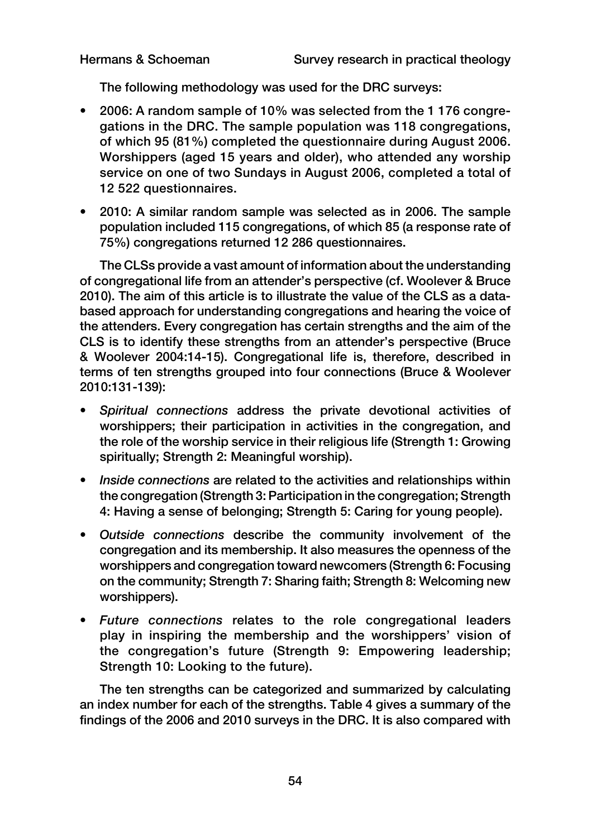The following methodology was used for the DRC surveys:

- 2006: A random sample of 10% was selected from the 1 176 congregations in the DRC. The sample population was 118 congregations, of which 95 (81%) completed the questionnaire during August 2006. Worshippers (aged 15 years and older), who attended any worship service on one of two Sundays in August 2006, completed a total of 12 522 questionnaires.
- 2010: A similar random sample was selected as in 2006. The sample population included 115 congregations, of which 85 (a response rate of 75%) congregations returned 12 286 questionnaires.

The CLSs provide a vast amount of information about the understanding of congregational life from an attender's perspective (cf. Woolever & Bruce 2010). The aim of this article is to illustrate the value of the CLS as a databased approach for understanding congregations and hearing the voice of the attenders. Every congregation has certain strengths and the aim of the CLS is to identify these strengths from an attender's perspective (Bruce & Woolever 2004:14-15). Congregational life is, therefore, described in terms of ten strengths grouped into four connections (Bruce & Woolever 2010:131-139):

- *• Spiritual connections* address the private devotional activities of worshippers; their participation in activities in the congregation, and the role of the worship service in their religious life (Strength 1: Growing spiritually; Strength 2: Meaningful worship).
- *• Inside connections* are related to the activities and relationships within the congregation (Strength 3: Participation in the congregation; Strength 4: Having a sense of belonging; Strength 5: Caring for young people).
- *• Outside connections* describe the community involvement of the congregation and its membership. It also measures the openness of the worshippers and congregation toward newcomers (Strength 6: Focusing on the community; Strength 7: Sharing faith; Strength 8: Welcoming new worshippers).
- *• Future connections* relates to the role congregational leaders play in inspiring the membership and the worshippers' vision of the congregation's future (Strength 9: Empowering leadership; Strength 10: Looking to the future).

The ten strengths can be categorized and summarized by calculating an index number for each of the strengths. Table 4 gives a summary of the findings of the 2006 and 2010 surveys in the DRC. It is also compared with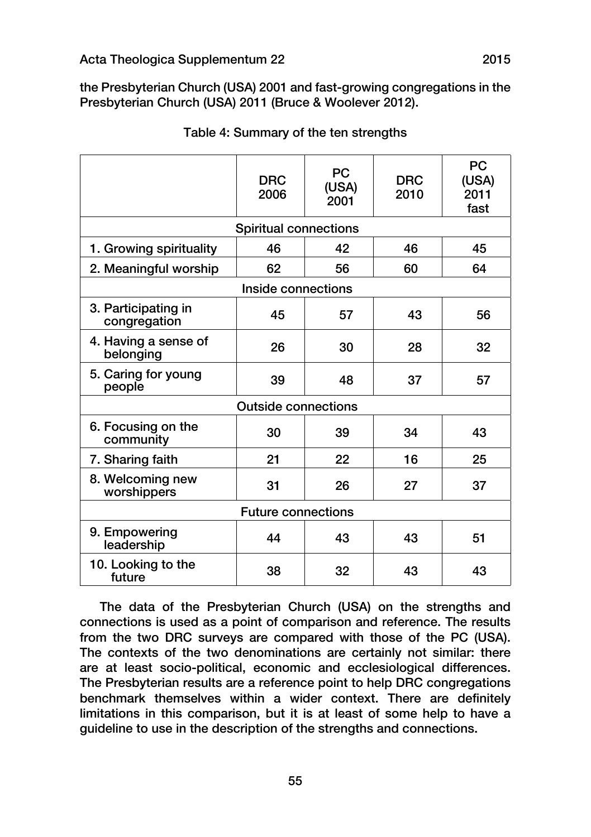the Presbyterian Church (USA) 2001 and fast-growing congregations in the Presbyterian Church (USA) 2011 (Bruce & Woolever 2012).

|                                     | <b>DRC</b><br>2006           | PC<br>(USA)<br>2001 | <b>DRC</b><br>2010 | PC<br>(USA)<br>2011<br>fast |  |
|-------------------------------------|------------------------------|---------------------|--------------------|-----------------------------|--|
|                                     | <b>Spiritual connections</b> |                     |                    |                             |  |
| 1. Growing spirituality             | 46                           | 42                  | 46                 | 45                          |  |
| 2. Meaningful worship               | 62                           | 56                  | 60                 | 64                          |  |
|                                     | Inside connections           |                     |                    |                             |  |
| 3. Participating in<br>congregation | 45                           | 57                  | 43                 | 56                          |  |
| 4. Having a sense of<br>belonging   | 26                           | 30                  | 28                 | 32                          |  |
| 5. Caring for young<br>people       | 39                           | 48                  | 37                 | 57                          |  |
|                                     | <b>Outside connections</b>   |                     |                    |                             |  |
| 6. Focusing on the<br>community     | 30                           | 39                  | 34                 | 43                          |  |
| 7. Sharing faith                    | 21                           | 22                  | 16                 | 25                          |  |
| 8. Welcoming new<br>worshippers     | 31                           | 26                  | 27                 | 37                          |  |
| <b>Future connections</b>           |                              |                     |                    |                             |  |
| 9. Empowering<br>leadership         | 44                           | 43                  | 43                 | 51                          |  |
| 10. Looking to the<br>future        | 38                           | 32                  | 43                 | 43                          |  |

Table 4: Summary of the ten strengths

The data of the Presbyterian Church (USA) on the strengths and connections is used as a point of comparison and reference. The results from the two DRC surveys are compared with those of the PC (USA). The contexts of the two denominations are certainly not similar: there are at least socio-political, economic and ecclesiological differences. The Presbyterian results are a reference point to help DRC congregations benchmark themselves within a wider context. There are definitely limitations in this comparison, but it is at least of some help to have a guideline to use in the description of the strengths and connections.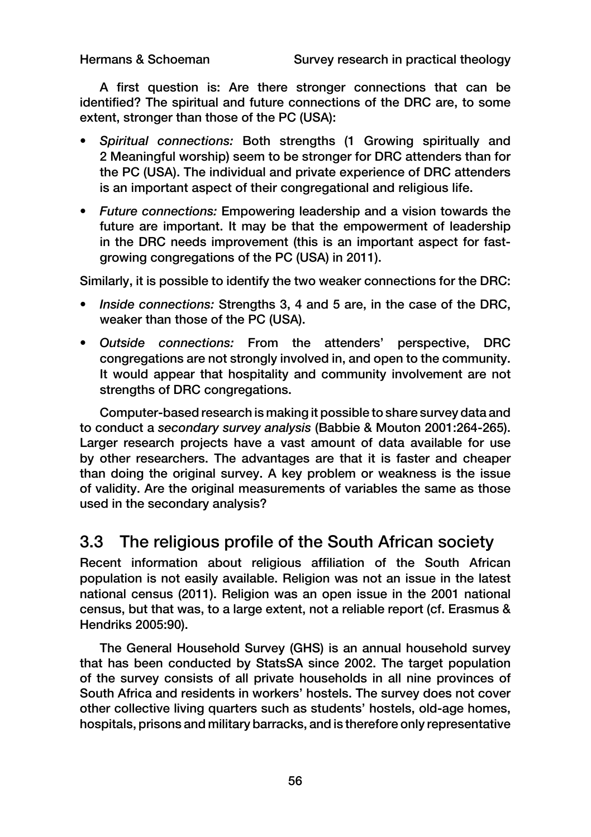A first question is: Are there stronger connections that can be identified? The spiritual and future connections of the DRC are, to some extent, stronger than those of the PC (USA):

- *• Spiritual connections:* Both strengths (1 Growing spiritually and 2 Meaningful worship) seem to be stronger for DRC attenders than for the PC (USA). The individual and private experience of DRC attenders is an important aspect of their congregational and religious life.
- *• Future connections:* Empowering leadership and a vision towards the future are important. It may be that the empowerment of leadership in the DRC needs improvement (this is an important aspect for fastgrowing congregations of the PC (USA) in 2011).

Similarly, it is possible to identify the two weaker connections for the DRC:

- *• Inside connections:* Strengths 3, 4 and 5 are, in the case of the DRC, weaker than those of the PC (USA).
- *• Outside connections:* From the attenders' perspective, DRC congregations are not strongly involved in, and open to the community. It would appear that hospitality and community involvement are not strengths of DRC congregations.

Computer-based research is making it possible to share survey data and to conduct a *secondary survey analysis* (Babbie & Mouton 2001:264-265). Larger research projects have a vast amount of data available for use by other researchers. The advantages are that it is faster and cheaper than doing the original survey. A key problem or weakness is the issue of validity. Are the original measurements of variables the same as those used in the secondary analysis?

## 3.3 The religious profile of the South African society

Recent information about religious affiliation of the South African population is not easily available. Religion was not an issue in the latest national census (2011). Religion was an open issue in the 2001 national census, but that was, to a large extent, not a reliable report (cf. Erasmus & Hendriks 2005:90).

The General Household Survey (GHS) is an annual household survey that has been conducted by StatsSA since 2002. The target population of the survey consists of all private households in all nine provinces of South Africa and residents in workers' hostels. The survey does not cover other collective living quarters such as students' hostels, old-age homes, hospitals, prisons and military barracks, and is therefore only representative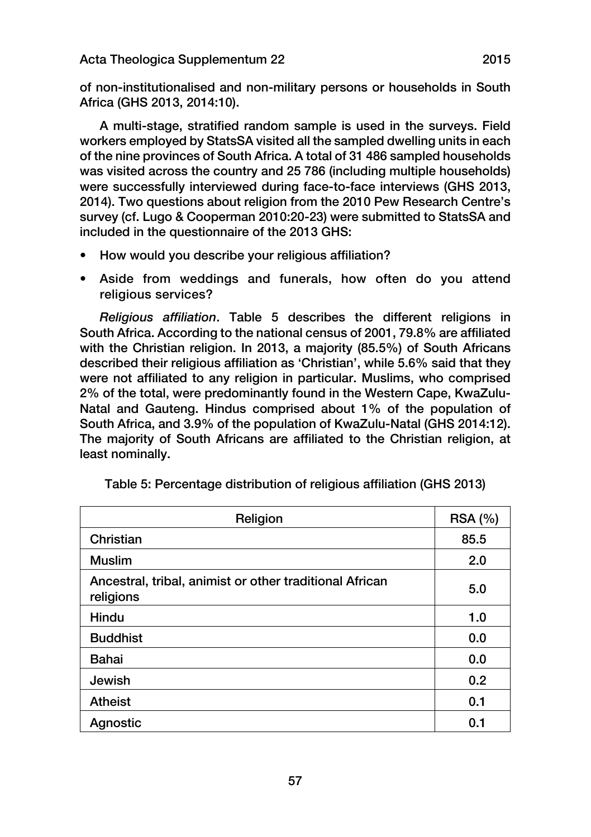of non-institutionalised and non-military persons or households in South Africa (GHS 2013, 2014:10).

A multi-stage, stratified random sample is used in the surveys. Field workers employed by StatsSA visited all the sampled dwelling units in each of the nine provinces of South Africa. A total of 31 486 sampled households was visited across the country and 25 786 (including multiple households) were successfully interviewed during face-to-face interviews (GHS 2013, 2014). Two questions about religion from the 2010 Pew Research Centre's survey (cf. Lugo & Cooperman 2010:20-23) were submitted to StatsSA and included in the questionnaire of the 2013 GHS:

- How would you describe your religious affiliation?
- Aside from weddings and funerals, how often do you attend religious services?

*Religious affiliation*. Table 5 describes the different religions in South Africa. According to the national census of 2001, 79.8% are affiliated with the Christian religion. In 2013, a majority (85.5%) of South Africans described their religious affiliation as 'Christian', while 5.6% said that they were not affiliated to any religion in particular. Muslims, who comprised 2% of the total, were predominantly found in the Western Cape, KwaZulu-Natal and Gauteng. Hindus comprised about 1% of the population of South Africa, and 3.9% of the population of KwaZulu-Natal (GHS 2014:12). The majority of South Africans are affiliated to the Christian religion, at least nominally.

| Religion                                                             | <b>RSA (%)</b>   |
|----------------------------------------------------------------------|------------------|
| Christian                                                            | 85.5             |
| <b>Muslim</b>                                                        | 2.0              |
| Ancestral, tribal, animist or other traditional African<br>religions | 5.0              |
| Hindu                                                                | 1.0              |
| <b>Buddhist</b>                                                      | 0.0              |
| <b>Bahai</b>                                                         | 0.0              |
| Jewish                                                               | 0.2 <sub>0</sub> |
| Atheist                                                              | 0.1              |
| Agnostic                                                             | 0.1              |

Table 5: Percentage distribution of religious affiliation (GHS 2013)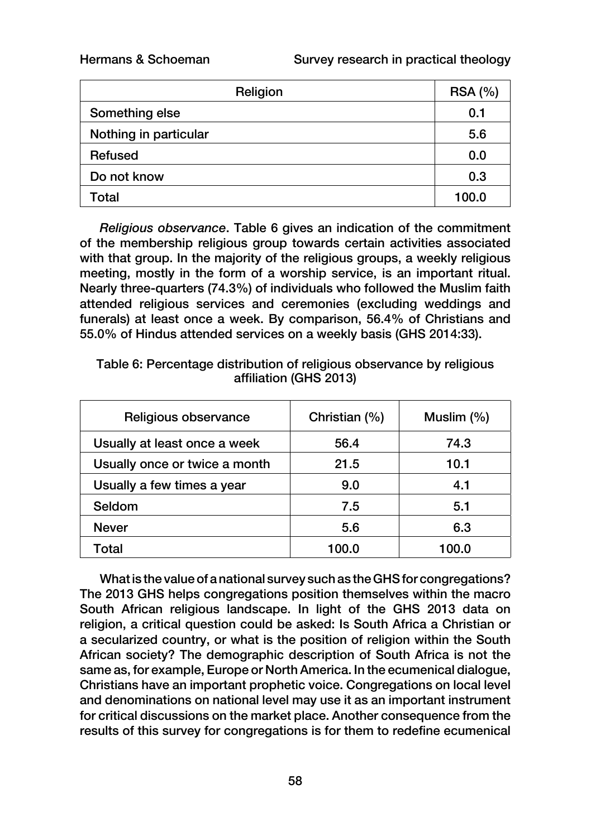| Religion              | <b>RSA (%)</b> |
|-----------------------|----------------|
| Something else        | 0.1            |
| Nothing in particular | 5.6            |
| Refused               | 0.0            |
| Do not know           | 0.3            |
| Total                 | 100.0          |

*Religious observance*. Table 6 gives an indication of the commitment of the membership religious group towards certain activities associated with that group. In the majority of the religious groups, a weekly religious meeting, mostly in the form of a worship service, is an important ritual. Nearly three-quarters (74.3%) of individuals who followed the Muslim faith attended religious services and ceremonies (excluding weddings and funerals) at least once a week. By comparison, 56.4% of Christians and 55.0% of Hindus attended services on a weekly basis (GHS 2014:33).

Table 6: Percentage distribution of religious observance by religious affiliation (GHS 2013)

| Religious observance          | Christian (%) | Muslim (%) |
|-------------------------------|---------------|------------|
| Usually at least once a week  | 56.4          | 74.3       |
| Usually once or twice a month | 21.5          | 10.1       |
| Usually a few times a year    | 9.0           | 4.1        |
| Seldom                        | 7.5           | 5.1        |
| <b>Never</b>                  | 5.6           | 6.3        |
| Total                         | 100.0         | 100.0      |

What is the value of a national survey such as the GHS for congregations? The 2013 GHS helps congregations position themselves within the macro South African religious landscape. In light of the GHS 2013 data on religion, a critical question could be asked: Is South Africa a Christian or a secularized country, or what is the position of religion within the South African society? The demographic description of South Africa is not the same as, for example, Europe or North America. In the ecumenical dialogue, Christians have an important prophetic voice. Congregations on local level and denominations on national level may use it as an important instrument for critical discussions on the market place. Another consequence from the results of this survey for congregations is for them to redefine ecumenical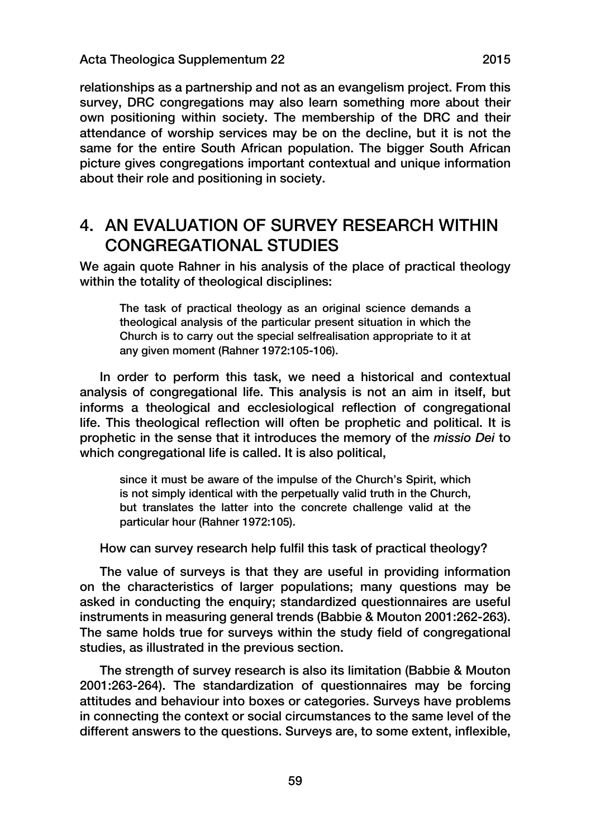relationships as a partnership and not as an evangelism project. From this survey. DRC congregations may also learn something more about their own positioning within society. The membership of the DRC and their attendance of worship services may be on the decline, but it is not the same for the entire South African population. The bigger South African picture gives congregations important contextual and unique information about their role and positioning in society.

## 4. AN EVALUATION OF SURVEY RESEARCH WITHIN CONGREGATIONAL STUDIES

We again quote Rahner in his analysis of the place of practical theology within the totality of theological disciplines:

The task of practical theology as an original science demands a theological analysis of the particular present situation in which the Church is to carry out the special selfrealisation appropriate to it at any given moment (Rahner 1972:105-106).

In order to perform this task, we need a historical and contextual analysis of congregational life. This analysis is not an aim in itself, but informs a theological and ecclesiological reflection of congregational life. This theological reflection will often be prophetic and political. It is prophetic in the sense that it introduces the memory of the *missio Dei* to which congregational life is called. It is also political,

since it must be aware of the impulse of the Church's Spirit, which is not simply identical with the perpetually valid truth in the Church, but translates the latter into the concrete challenge valid at the particular hour (Rahner 1972:105).

How can survey research help fulfil this task of practical theology?

The value of surveys is that they are useful in providing information on the characteristics of larger populations; many questions may be asked in conducting the enquiry; standardized questionnaires are useful instruments in measuring general trends (Babbie & Mouton 2001:262-263). The same holds true for surveys within the study field of congregational studies, as illustrated in the previous section.

The strength of survey research is also its limitation (Babbie & Mouton 2001:263-264). The standardization of questionnaires may be forcing attitudes and behaviour into boxes or categories. Surveys have problems in connecting the context or social circumstances to the same level of the different answers to the questions. Surveys are, to some extent, inflexible,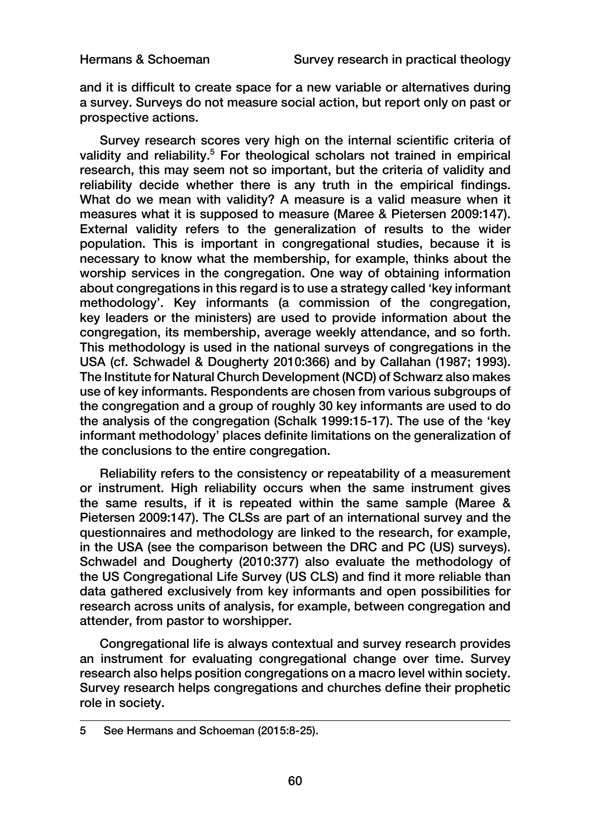and it is difficult to create space for a new variable or alternatives during a survey. Surveys do not measure social action, but report only on past or prospective actions.

Survey research scores very high on the internal scientific criteria of validity and reliability.<sup>5</sup> For theological scholars not trained in empirical research, this may seem not so important, but the criteria of validity and reliability decide whether there is any truth in the empirical findings. What do we mean with validity? A measure is a valid measure when it measures what it is supposed to measure (Maree & Pietersen 2009:147). External validity refers to the generalization of results to the wider population. This is important in congregational studies, because it is necessary to know what the membership, for example, thinks about the worship services in the congregation. One way of obtaining information about congregations in this regard is to use a strategy called 'key informant methodology'. Key informants (a commission of the congregation, key leaders or the ministers) are used to provide information about the congregation, its membership, average weekly attendance, and so forth. This methodology is used in the national surveys of congregations in the USA (cf. Schwadel & Dougherty 2010:366) and by Callahan (1987; 1993). The Institute for Natural Church Development (NCD) of Schwarz also makes use of key informants. Respondents are chosen from various subgroups of the congregation and a group of roughly 30 key informants are used to do the analysis of the congregation (Schalk 1999:15-17). The use of the 'key informant methodology' places definite limitations on the generalization of the conclusions to the entire congregation.

Reliability refers to the consistency or repeatability of a measurement or instrument. High reliability occurs when the same instrument gives the same results, if it is repeated within the same sample (Maree & Pietersen 2009:147). The CLSs are part of an international survey and the questionnaires and methodology are linked to the research, for example, in the USA (see the comparison between the DRC and PC (US) surveys). Schwadel and Dougherty (2010:377) also evaluate the methodology of the US Congregational Life Survey (US CLS) and find it more reliable than data gathered exclusively from key informants and open possibilities for research across units of analysis, for example, between congregation and attender, from pastor to worshipper.

Congregational life is always contextual and survey research provides an instrument for evaluating congregational change over time. Survey research also helps position congregations on a macro level within society. Survey research helps congregations and churches define their prophetic role in society.

<sup>5</sup> See Hermans and Schoeman (2015:8-25).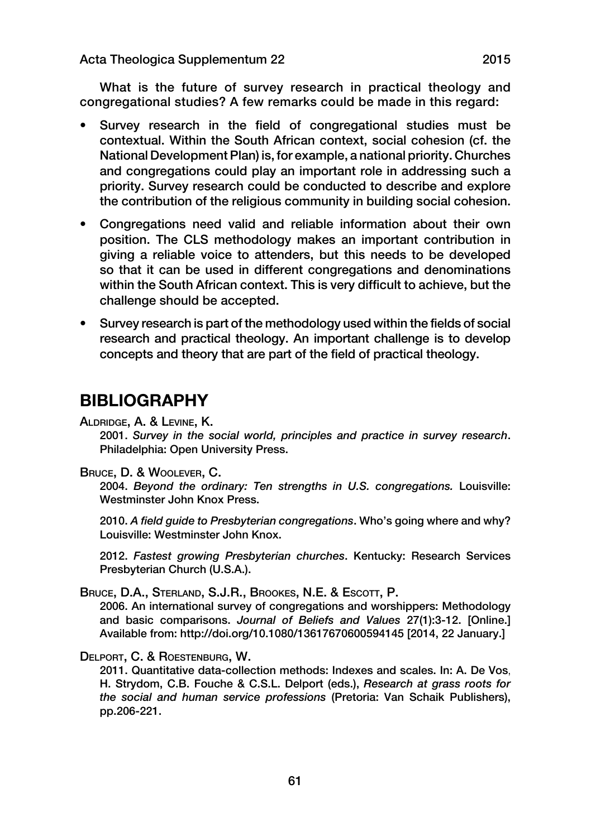What is the future of survey research in practical theology and congregational studies? A few remarks could be made in this regard:

- Survey research in the field of congregational studies must be contextual. Within the South African context, social cohesion (cf. the National Development Plan) is, for example, a national priority. Churches and congregations could play an important role in addressing such a priority. Survey research could be conducted to describe and explore the contribution of the religious community in building social cohesion.
- Congregations need valid and reliable information about their own position. The CLS methodology makes an important contribution in giving a reliable voice to attenders, but this needs to be developed so that it can be used in different congregations and denominations within the South African context. This is very difficult to achieve, but the challenge should be accepted.
- Survey research is part of the methodology used within the fields of social research and practical theology. An important challenge is to develop concepts and theory that are part of the field of practical theology.

## **BIBLIOGRAPHY**

Aldridge, A. & Levine, K.

2001. *Survey in the social world, principles and practice in survey research*. Philadelphia: Open University Press.

### Bruce, D. & Woolever, C.

2004. *Beyond the ordinary: Ten strengths in U.S. congregations.* Louisville: Westminster John Knox Press.

2010. *A field guide to Presbyterian congregations*. Who's going where and why? Louisville: Westminster John Knox.

2012. *Fastest growing Presbyterian churches*. Kentucky: Research Services Presbyterian Church (U.S.A.).

Bruce, D.A., Sterland, S.J.R., Brookes, N.E. & Escott, P.

2006. An international survey of congregations and worshippers: Methodology and basic comparisons. *Journal of Beliefs and Values* 27(1):3-12. [Online.] Available from: http://doi.org/10.1080/13617670600594145 [2014, 22 January.]

### Delport, C. & Roestenburg, W.

2011. Quantitative data-collection methods: Indexes and scales. In: A. De Vos, H. Strydom, C.B. Fouche & C.S.L. Delport (eds.), *Research at grass roots for the social and human service professions* (Pretoria: Van Schaik Publishers), pp.206-221.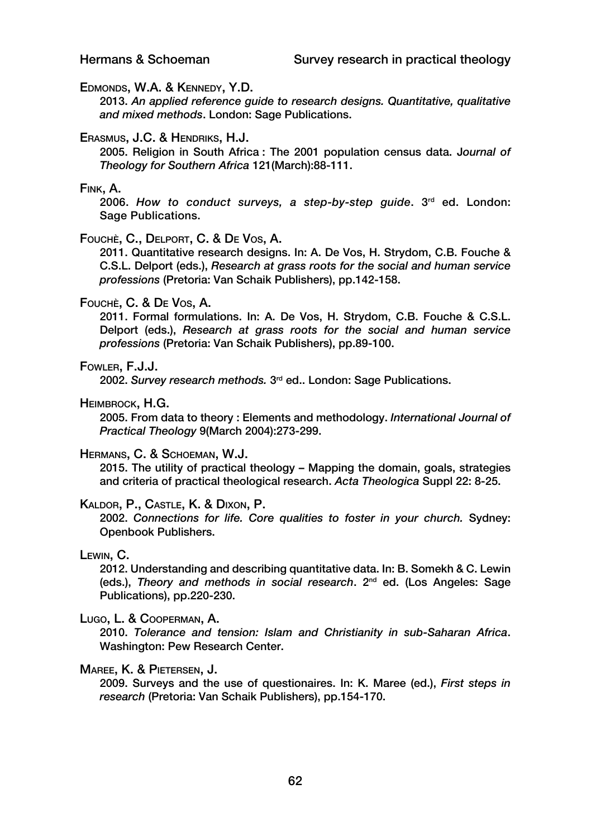#### Edmonds, W.A. & Kennedy, Y.D.

2013. *An applied reference guide to research designs. Quantitative, qualitative and mixed methods*. London: Sage Publications.

#### Erasmus, J.C. & Hendriks, H.J.

2005. Religion in South Africa : The 2001 population census data. J*ournal of Theology for Southern Africa* 121(March):88-111.

#### Fink, A.

2006. How to conduct surveys, a step-by-step guide. 3<sup>rd</sup> ed. London: Sage Publications.

### Fouchè, C., Delport, C. & De Vos, A.

2011. Quantitative research designs. In: A. De Vos, H. Strydom, C.B. Fouche & C.S.L. Delport (eds.), *Research at grass roots for the social and human service professions* (Pretoria: Van Schaik Publishers), pp.142-158.

#### Fouchè, C. & De Vos, A.

2011. Formal formulations. In: A. De Vos, H. Strydom, C.B. Fouche & C.S.L. Delport (eds.), *Research at grass roots for the social and human service professions* (Pretoria: Van Schaik Publishers), pp.89-100.

#### Fowler, F.J.J.

2002. *Survey research methods.* 3rd ed.. London: Sage Publications.

#### Heimbrock, H.G.

2005. From data to theory : Elements and methodology. *International Journal of Practical Theology* 9(March 2004):273-299.

#### Hermans, C. & Schoeman, W.J.

2015. The utility of practical theology – Mapping the domain, goals, strategies and criteria of practical theological research. *Acta Theologica* Suppl 22: 8-25.

#### Kaldor, P., Castle, K. & Dixon, P.

2002. *Connections for life. Core qualities to foster in your church.* Sydney: Openbook Publishers.

#### Lewin, C.

2012. Understanding and describing quantitative data. In: B. Somekh & C. Lewin (eds.), *Theory and methods in social research*. 2nd ed. (Los Angeles: Sage Publications), pp.220-230.

### Lugo, L. & Cooperman, A.

2010. *Tolerance and tension: Islam and Christianity in sub-Saharan Africa*. Washington: Pew Research Center.

### Maree, K. & Pietersen, J.

2009. Surveys and the use of questionaires. In: K. Maree (ed.), *First steps in research* (Pretoria: Van Schaik Publishers), pp.154-170.